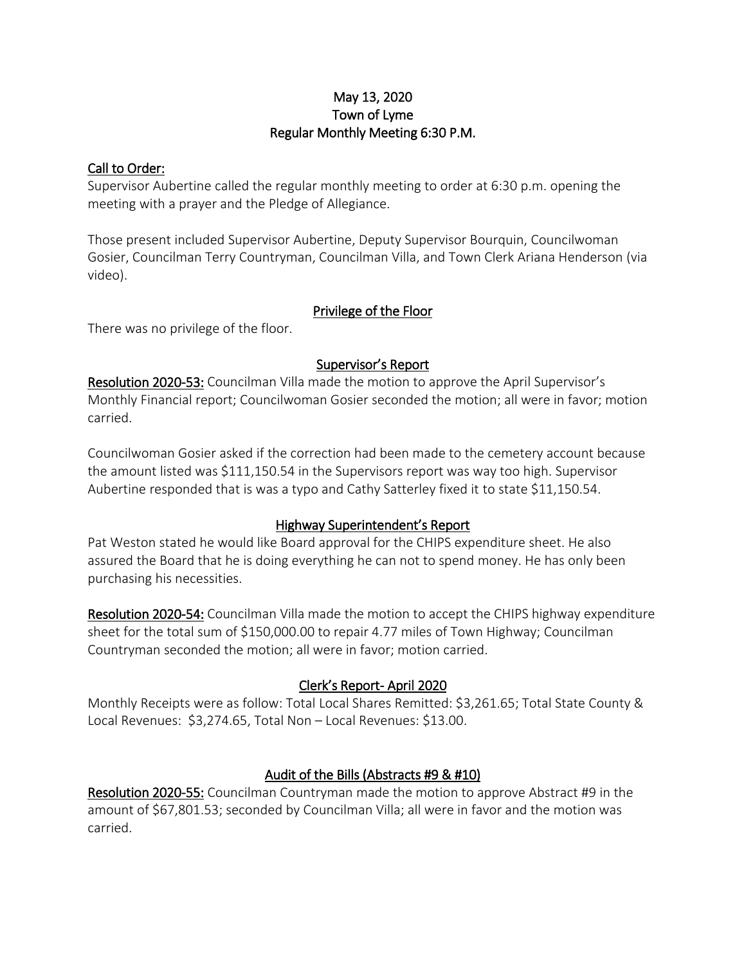### May 13, 2020 Town of Lyme Regular Monthly Meeting 6:30 P.M.

### Call to Order:

Supervisor Aubertine called the regular monthly meeting to order at 6:30 p.m. opening the meeting with a prayer and the Pledge of Allegiance.

Those present included Supervisor Aubertine, Deputy Supervisor Bourquin, Councilwoman Gosier, Councilman Terry Countryman, Councilman Villa, and Town Clerk Ariana Henderson (via video).

# Privilege of the Floor

There was no privilege of the floor.

# Supervisor's Report

Resolution 2020-53: Councilman Villa made the motion to approve the April Supervisor's Monthly Financial report; Councilwoman Gosier seconded the motion; all were in favor; motion carried.

Councilwoman Gosier asked if the correction had been made to the cemetery account because the amount listed was \$111,150.54 in the Supervisors report was way too high. Supervisor Aubertine responded that is was a typo and Cathy Satterley fixed it to state \$11,150.54.

# Highway Superintendent's Report

Pat Weston stated he would like Board approval for the CHIPS expenditure sheet. He also assured the Board that he is doing everything he can not to spend money. He has only been purchasing his necessities.

Resolution 2020-54: Councilman Villa made the motion to accept the CHIPS highway expenditure sheet for the total sum of \$150,000.00 to repair 4.77 miles of Town Highway; Councilman Countryman seconded the motion; all were in favor; motion carried.

# Clerk's Report- April 2020

Monthly Receipts were as follow: Total Local Shares Remitted: \$3,261.65; Total State County & Local Revenues: \$3,274.65, Total Non – Local Revenues: \$13.00.

# Audit of the Bills (Abstracts #9 & #10)

Resolution 2020-55: Councilman Countryman made the motion to approve Abstract #9 in the amount of \$67,801.53; seconded by Councilman Villa; all were in favor and the motion was carried.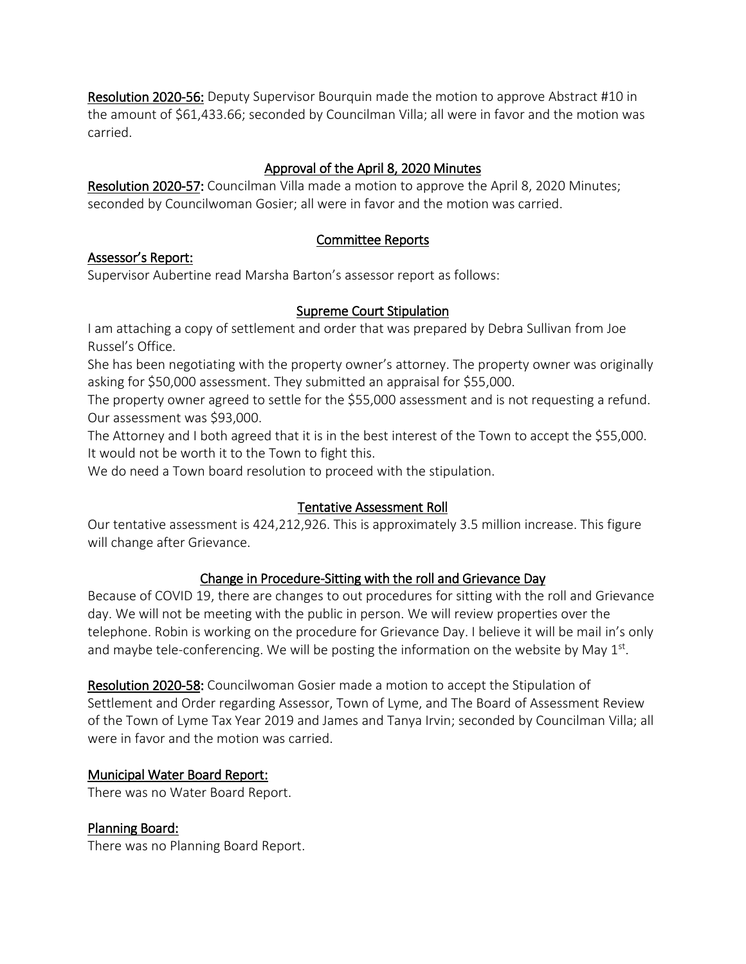Resolution 2020-56: Deputy Supervisor Bourquin made the motion to approve Abstract #10 in the amount of \$61,433.66; seconded by Councilman Villa; all were in favor and the motion was carried.

# Approval of the April 8, 2020 Minutes

Resolution 2020-57: Councilman Villa made a motion to approve the April 8, 2020 Minutes; seconded by Councilwoman Gosier; all were in favor and the motion was carried.

# Committee Reports

### Assessor's Report:

Supervisor Aubertine read Marsha Barton's assessor report as follows:

# Supreme Court Stipulation

I am attaching a copy of settlement and order that was prepared by Debra Sullivan from Joe Russel's Office.

She has been negotiating with the property owner's attorney. The property owner was originally asking for \$50,000 assessment. They submitted an appraisal for \$55,000.

The property owner agreed to settle for the \$55,000 assessment and is not requesting a refund. Our assessment was \$93,000.

The Attorney and I both agreed that it is in the best interest of the Town to accept the \$55,000. It would not be worth it to the Town to fight this.

We do need a Town board resolution to proceed with the stipulation.

# Tentative Assessment Roll

Our tentative assessment is 424,212,926. This is approximately 3.5 million increase. This figure will change after Grievance.

# Change in Procedure-Sitting with the roll and Grievance Day

Because of COVID 19, there are changes to out procedures for sitting with the roll and Grievance day. We will not be meeting with the public in person. We will review properties over the telephone. Robin is working on the procedure for Grievance Day. I believe it will be mail in's only and maybe tele-conferencing. We will be posting the information on the website by May  $1<sup>st</sup>$ .

Resolution 2020-58: Councilwoman Gosier made a motion to accept the Stipulation of Settlement and Order regarding Assessor, Town of Lyme, and The Board of Assessment Review of the Town of Lyme Tax Year 2019 and James and Tanya Irvin; seconded by Councilman Villa; all were in favor and the motion was carried.

# Municipal Water Board Report:

There was no Water Board Report.

# Planning Board:

There was no Planning Board Report.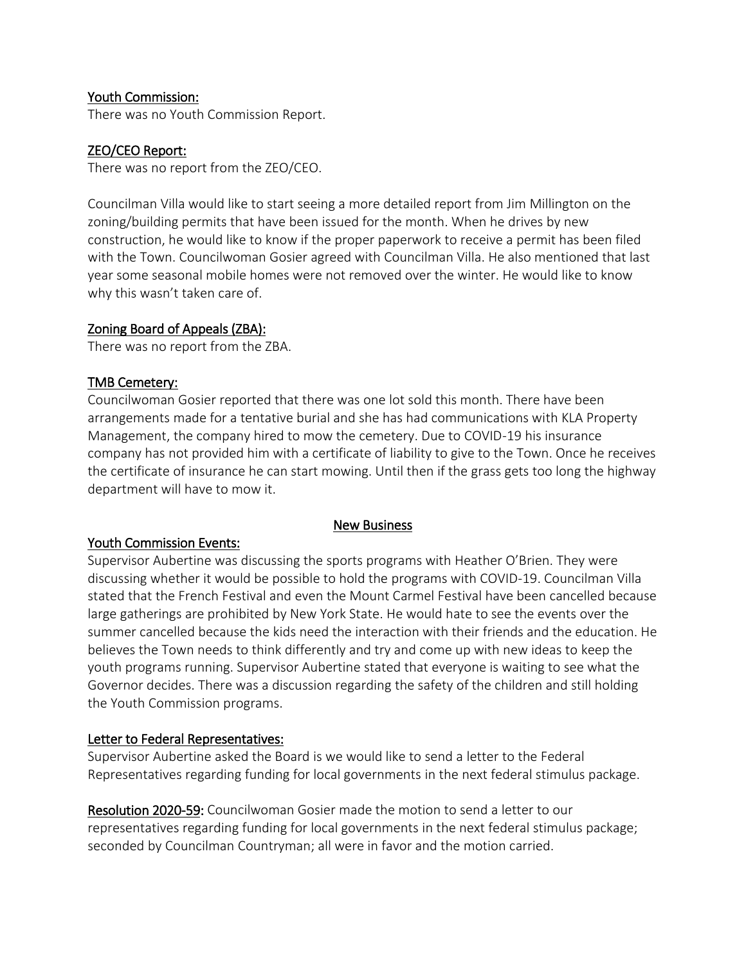### Youth Commission:

There was no Youth Commission Report.

### ZEO/CEO Report:

There was no report from the ZEO/CEO.

Councilman Villa would like to start seeing a more detailed report from Jim Millington on the zoning/building permits that have been issued for the month. When he drives by new construction, he would like to know if the proper paperwork to receive a permit has been filed with the Town. Councilwoman Gosier agreed with Councilman Villa. He also mentioned that last year some seasonal mobile homes were not removed over the winter. He would like to know why this wasn't taken care of.

#### Zoning Board of Appeals (ZBA):

There was no report from the ZBA.

### TMB Cemetery:

Councilwoman Gosier reported that there was one lot sold this month. There have been arrangements made for a tentative burial and she has had communications with KLA Property Management, the company hired to mow the cemetery. Due to COVID-19 his insurance company has not provided him with a certificate of liability to give to the Town. Once he receives the certificate of insurance he can start mowing. Until then if the grass gets too long the highway department will have to mow it.

#### New Business

#### Youth Commission Events:

Supervisor Aubertine was discussing the sports programs with Heather O'Brien. They were discussing whether it would be possible to hold the programs with COVID-19. Councilman Villa stated that the French Festival and even the Mount Carmel Festival have been cancelled because large gatherings are prohibited by New York State. He would hate to see the events over the summer cancelled because the kids need the interaction with their friends and the education. He believes the Town needs to think differently and try and come up with new ideas to keep the youth programs running. Supervisor Aubertine stated that everyone is waiting to see what the Governor decides. There was a discussion regarding the safety of the children and still holding the Youth Commission programs.

#### Letter to Federal Representatives:

Supervisor Aubertine asked the Board is we would like to send a letter to the Federal Representatives regarding funding for local governments in the next federal stimulus package.

Resolution 2020-59: Councilwoman Gosier made the motion to send a letter to our representatives regarding funding for local governments in the next federal stimulus package; seconded by Councilman Countryman; all were in favor and the motion carried.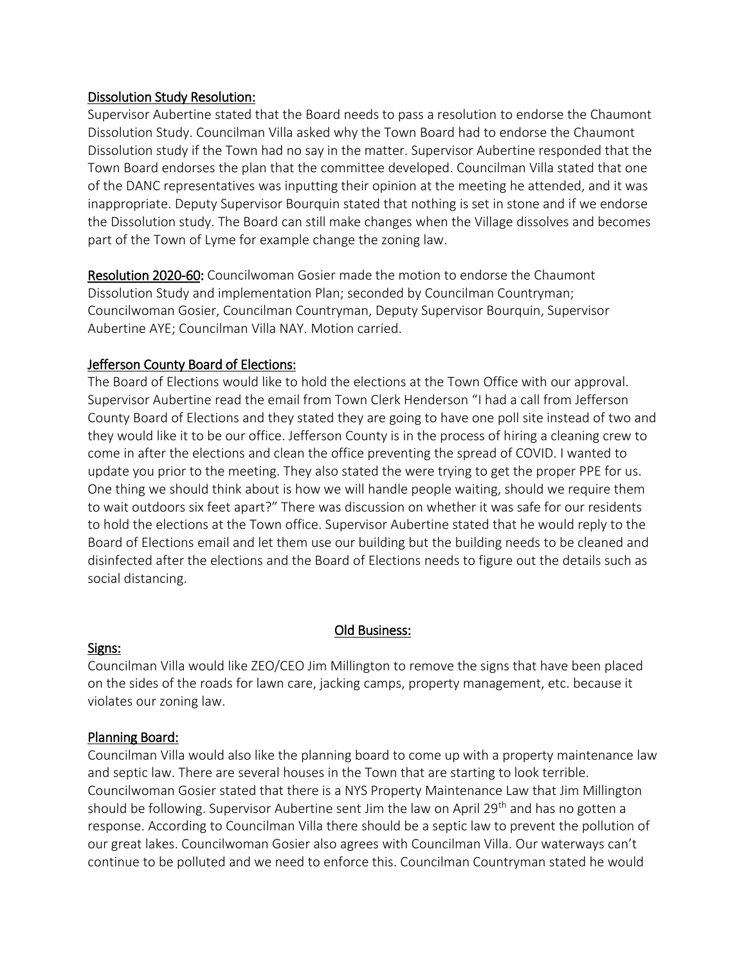#### Dissolution Study Resolution:

Supervisor Aubertine stated that the Board needs to pass a resolution to endorse the Chaumont Dissolution Study. Councilman Villa asked why the Town Board had to endorse the Chaumont Dissolution study if the Town had no say in the matter. Supervisor Aubertine responded that the Town Board endorses the plan that the committee developed. Councilman Villa stated that one of the DANC representatives was inputting their opinion at the meeting he attended, and it was inappropriate. Deputy Supervisor Bourquin stated that nothing is set in stone and if we endorse the Dissolution study. The Board can still make changes when the Village dissolves and becomes part of the Town of Lyme for example change the zoning law.

Resolution 2020-60: Councilwoman Gosier made the motion to endorse the Chaumont Dissolution Study and implementation Plan; seconded by Councilman Countryman; Councilwoman Gosier, Councilman Countryman, Deputy Supervisor Bourquin, Supervisor Aubertine AYE; Councilman Villa NAY. Motion carried.

# Jefferson County Board of Elections:

The Board of Elections would like to hold the elections at the Town Office with our approval. Supervisor Aubertine read the email from Town Clerk Henderson "I had a call from Jefferson County Board of Elections and they stated they are going to have one poll site instead of two and they would like it to be our office. Jefferson County is in the process of hiring a cleaning crew to come in after the elections and clean the office preventing the spread of COVID. I wanted to update you prior to the meeting. They also stated the were trying to get the proper PPE for us. One thing we should think about is how we will handle people waiting, should we require them to wait outdoors six feet apart?" There was discussion on whether it was safe for our residents to hold the elections at the Town office. Supervisor Aubertine stated that he would reply to the Board of Elections email and let them use our building but the building needs to be cleaned and disinfected after the elections and the Board of Elections needs to figure out the details such as social distancing.

# Old Business:

#### Signs:

Councilman Villa would like ZEO/CEO Jim Millington to remove the signs that have been placed on the sides of the roads for lawn care, jacking camps, property management, etc. because it violates our zoning law.

#### Planning Board:

Councilman Villa would also like the planning board to come up with a property maintenance law and septic law. There are several houses in the Town that are starting to look terrible. Councilwoman Gosier stated that there is a NYS Property Maintenance Law that Jim Millington should be following. Supervisor Aubertine sent Jim the law on April 29<sup>th</sup> and has no gotten a response. According to Councilman Villa there should be a septic law to prevent the pollution of our great lakes. Councilwoman Gosier also agrees with Councilman Villa. Our waterways can't continue to be polluted and we need to enforce this. Councilman Countryman stated he would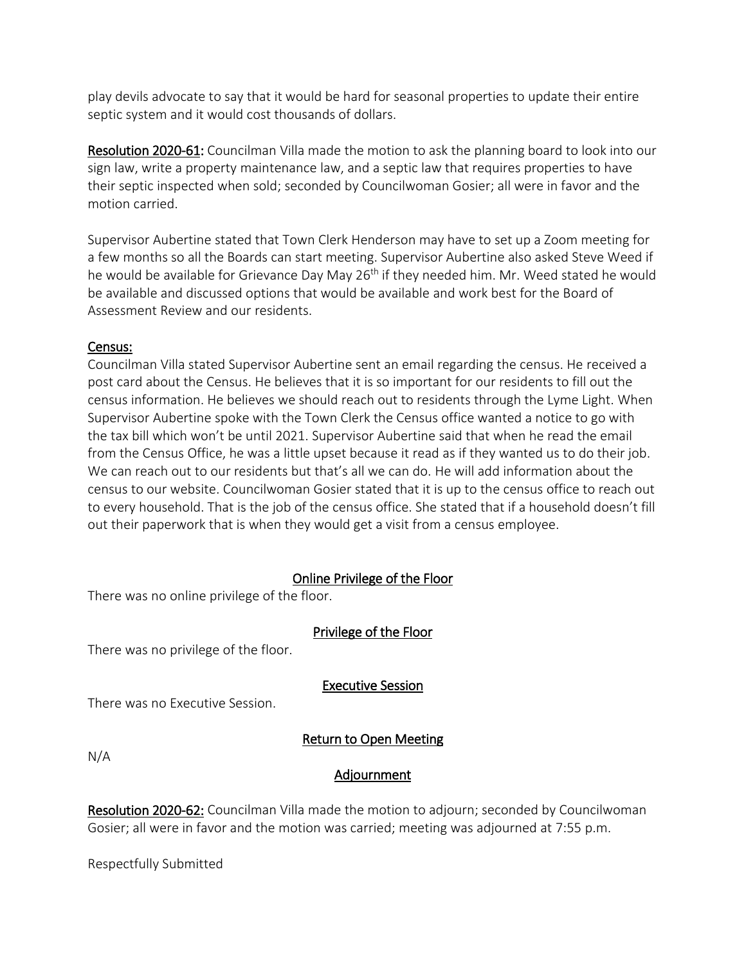play devils advocate to say that it would be hard for seasonal properties to update their entire septic system and it would cost thousands of dollars.

Resolution 2020-61: Councilman Villa made the motion to ask the planning board to look into our sign law, write a property maintenance law, and a septic law that requires properties to have their septic inspected when sold; seconded by Councilwoman Gosier; all were in favor and the motion carried.

Supervisor Aubertine stated that Town Clerk Henderson may have to set up a Zoom meeting for a few months so all the Boards can start meeting. Supervisor Aubertine also asked Steve Weed if he would be available for Grievance Day May 26<sup>th</sup> if they needed him. Mr. Weed stated he would be available and discussed options that would be available and work best for the Board of Assessment Review and our residents.

### Census:

Councilman Villa stated Supervisor Aubertine sent an email regarding the census. He received a post card about the Census. He believes that it is so important for our residents to fill out the census information. He believes we should reach out to residents through the Lyme Light. When Supervisor Aubertine spoke with the Town Clerk the Census office wanted a notice to go with the tax bill which won't be until 2021. Supervisor Aubertine said that when he read the email from the Census Office, he was a little upset because it read as if they wanted us to do their job. We can reach out to our residents but that's all we can do. He will add information about the census to our website. Councilwoman Gosier stated that it is up to the census office to reach out to every household. That is the job of the census office. She stated that if a household doesn't fill out their paperwork that is when they would get a visit from a census employee.

# Online Privilege of the Floor

There was no online privilege of the floor.

# Privilege of the Floor

There was no privilege of the floor.

Executive Session

There was no Executive Session.

# Return to Open Meeting

N/A

# Adjournment

Resolution 2020-62: Councilman Villa made the motion to adjourn; seconded by Councilwoman Gosier; all were in favor and the motion was carried; meeting was adjourned at 7:55 p.m.

Respectfully Submitted